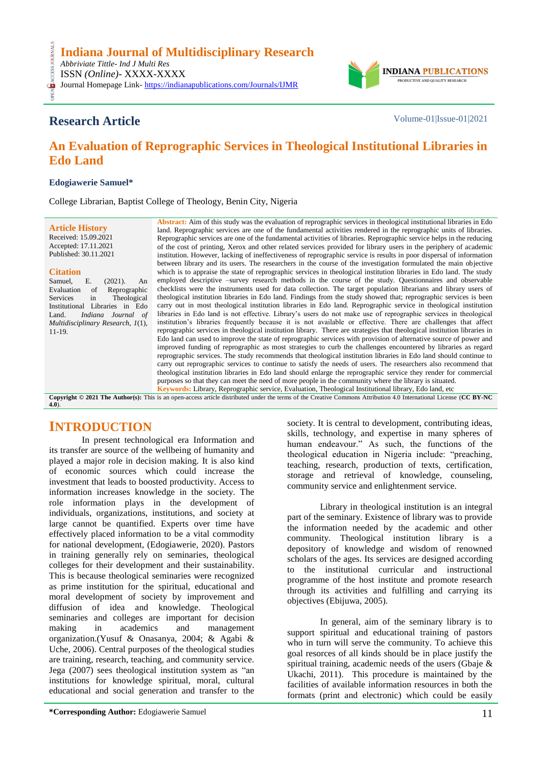

# **Research Article** Volume-01|Issue-01|2021

CESS.

# **An Evaluation of Reprographic Services in Theological Institutional Libraries in Edo Land**

#### **Edogiawerie Samuel\***

College Librarian, Baptist College of Theology, Benin City, Nigeria

|                                   | <b>Abstract:</b> Aim of this study was the evaluation of reprographic services in theological institutional libraries in Edo |
|-----------------------------------|------------------------------------------------------------------------------------------------------------------------------|
| <b>Article History</b>            | land. Reprographic services are one of the fundamental activities rendered in the reprographic units of libraries.           |
| Received: 15.09.2021              | Reprographic services are one of the fundamental activities of libraries. Reprographic service helps in the reducing         |
| Accepted: 17.11.2021              | of the cost of printing, Xerox and other related services provided for library users in the periphery of academic            |
| Published: 30.11.2021             | institution. However, lacking of ineffectiveness of reprographic service is results in poor dispersal of information         |
|                                   | between library and its users. The researchers in the course of the investigation formulated the main objective              |
| <b>Citation</b>                   | which is to appraise the state of reprographic services in theological institution libraries in Edo land. The study          |
| Ε.<br>(2021).<br>Samuel,<br>An    | employed descriptive –survey research methods in the course of the study. Questionnaires and observable                      |
| Evaluation<br>Reprographic<br>of  | checklists were the instruments used for data collection. The target population librarians and library users of              |
| Theological<br>in<br>Services     | theological institution libraries in Edo land. Findings from the study showed that; reprographic services is been            |
| Institutional<br>Libraries in Edo | carry out in most theological institution libraries in Edo land. Reprographic service in theological institution             |
| Indiana Journal of<br>Land.       | libraries in Edo land is not effective. Library's users do not make use of reprographic services in theological              |
| Multidisciplinary Research, 1(1), | institution's libraries frequently because it is not available or effective. There are challenges that affect                |
| $11-19.$                          | reprographic services in theological institution library. There are strategies that theological institution libraries in     |
|                                   | Edo land can used to improve the state of reprographic services with provision of alternative source of power and            |
|                                   | improved funding of reprographic as most strategies to curb the challenges encountered by libraries as regard                |
|                                   | reprographic services. The study recommends that theological institution libraries in Edo land should continue to            |
|                                   | carry out reprographic services to continue to satisfy the needs of users. The researchers also recommend that               |
|                                   | theological institution libraries in Edo land should enlarge the reprographic service they render for commercial             |
|                                   | purposes so that they can meet the need of more people in the community where the library is situated.                       |
|                                   | <b>Keywords:</b> Library, Reprographic service, Evaluation, Theological Institutional library, Edo land, etc                 |

**Copyright © 2021 The Author(s):** This is an open-access article distributed under the terms of the Creative Commons Attribution 4.0 International License (**[CC BY-NC](https://creativecommons.org/licenses/by-nc/4.0/)  [4.0](https://creativecommons.org/licenses/by-nc/4.0/)**).

## **INTRODUCTION**

In present technological era Information and its transfer are source of the wellbeing of humanity and played a major role in decision making. It is also kind of economic sources which could increase the investment that leads to boosted productivity. Access to information increases knowledge in the society. The role information plays in the development of individuals, organizations, institutions, and society at large cannot be quantified. Experts over time have effectively placed information to be a vital commodity for national development, (Edogiawerie, 2020). Pastors in training generally rely on seminaries, theological colleges for their development and their sustainability. This is because theological seminaries were recognized as prime institution for the spiritual, educational and moral development of society by improvement and diffusion of idea and knowledge. Theological seminaries and colleges are important for decision making in academics and management organization.(Yusuf & Onasanya, 2004; & Agabi & Uche, 2006). Central purposes of the theological studies are training, research, teaching, and community service. Jega (2007) sees theological institution system as "an institutions for knowledge spiritual, moral, cultural educational and social generation and transfer to the

society. It is central to development, contributing ideas, skills, technology, and expertise in many spheres of human endeavour." As such, the functions of the theological education in Nigeria include: "preaching, teaching, research, production of texts, certification, storage and retrieval of knowledge, counseling, community service and enlightenment service.

Library in theological institution is an integral part of the seminary. Existence of library was to provide the information needed by the academic and other community. Theological institution library is a depository of knowledge and wisdom of renowned scholars of the ages. Its services are designed according to the institutional curricular and instructional programme of the host institute and promote research through its activities and fulfilling and carrying its objectives (Ebijuwa, 2005).

In general, aim of the seminary library is to support spiritual and educational training of pastors who in turn will serve the community. To achieve this goal resorces of all kinds should be in place justify the spiritual training, academic needs of the users (Gbaje & Ukachi, 2011). This procedure is maintained by the facilities of available information resources in both the formats (print and electronic) which could be easily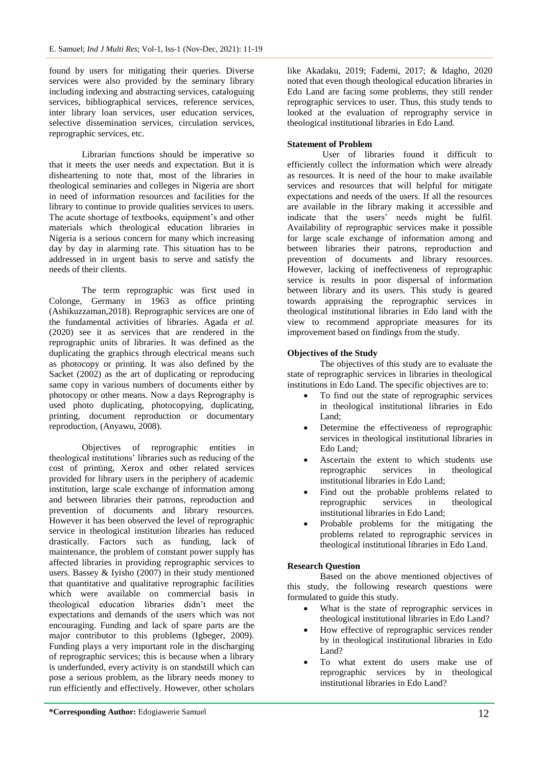found by users for mitigating their queries. Diverse services were also provided by the seminary library including indexing and abstracting services, cataloguing services, bibliographical services, reference services, inter library loan services, user education services, selective dissemination services, circulation services, reprographic services, etc.

Librarian functions should be imperative so that it meets the user needs and expectation. But it is disheartening to note that, most of the libraries in theological seminaries and colleges in Nigeria are short in need of information resources and facilities for the library to continue to provide qualities services to users. The acute shortage of textbooks, equipment's and other materials which theological education libraries in Nigeria is a serious concern for many which increasing day by day in alarming rate. This situation has to be addressed in in urgent basis to serve and satisfy the needs of their clients.

The term reprographic was first used in Colonge, Germany in 1963 as office printing (Ashikuzzaman,2018). Reprographic services are one of the fundamental activities of libraries. Agada *et al.* (2020) see it as services that are rendered in the reprographic units of libraries. It was defined as the duplicating the graphics through electrical means such as photocopy or printing. It was also defined by the Sacket (2002) as the art of duplicating or reproducing same copy in various numbers of documents either by photocopy or other means. Now a days Reprography is used photo duplicating, photocopying, duplicating, printing, document reproduction or documentary reproduction, (Anyawu, 2008).

Objectives of reprographic entities in theological institutions' libraries such as reducing of the cost of printing, Xerox and other related services provided for library users in the periphery of academic institution, large scale exchange of information among and between libraries their patrons, reproduction and prevention of documents and library resources. However it has been observed the level of reprographic service in theological institution libraries has reduced drastically. Factors such as funding, lack of maintenance, the problem of constant power supply has affected libraries in providing reprographic services to users. Bassey  $&$  Iyisho (2007) in their study mentioned that quantitative and qualitative reprographic facilities which were available on commercial basis in theological education libraries didn't meet the expectations and demands of the users which was not encouraging. Funding and lack of spare parts are the major contributor to this problems (Igbeger, 2009). Funding plays a very important role in the discharging of reprographic services; this is because when a library is underfunded, every activity is on standstill which can pose a serious problem, as the library needs money to run efficiently and effectively. However, other scholars

like Akadaku, 2019; Fademi, 2017; & Idagho, 2020 noted that even though theological education libraries in Edo Land are facing some problems, they still render reprographic services to user. Thus, this study tends to looked at the evaluation of reprography service in theological institutional libraries in Edo Land.

### **Statement of Problem**

User of libraries found it difficult to efficiently collect the information which were already as resources. It is need of the hour to make available services and resources that will helpful for mitigate expectations and needs of the users. If all the resources are available in the library making it accessible and indicate that the users' needs might be fulfil. Availability of reprographic services make it possible for large scale exchange of information among and between libraries their patrons, reproduction and prevention of documents and library resources. However, lacking of ineffectiveness of reprographic service is results in poor dispersal of information between library and its users. This study is geared towards appraising the reprographic services in theological institutional libraries in Edo land with the view to recommend appropriate measures for its improvement based on findings from the study.

### **Objectives of the Study**

The objectives of this study are to evaluate the state of reprographic services in libraries in theological institutions in Edo Land. The specific objectives are to:

- To find out the state of reprographic services in theological institutional libraries in Edo Land;
- Determine the effectiveness of reprographic services in theological institutional libraries in Edo Land;
- Ascertain the extent to which students use reprographic services in theological institutional libraries in Edo Land;
- Find out the probable problems related to reprographic services in theological institutional libraries in Edo Land;
- Probable problems for the mitigating the problems related to reprographic services in theological institutional libraries in Edo Land.

### **Research Question**

Based on the above mentioned objectives of this study, the following research questions were formulated to guide this study.

- What is the state of reprographic services in theological institutional libraries in Edo Land?
- How effective of reprographic services render by in theological institutional libraries in Edo Land?
- To what extent do users make use of reprographic services by in theological institutional libraries in Edo Land?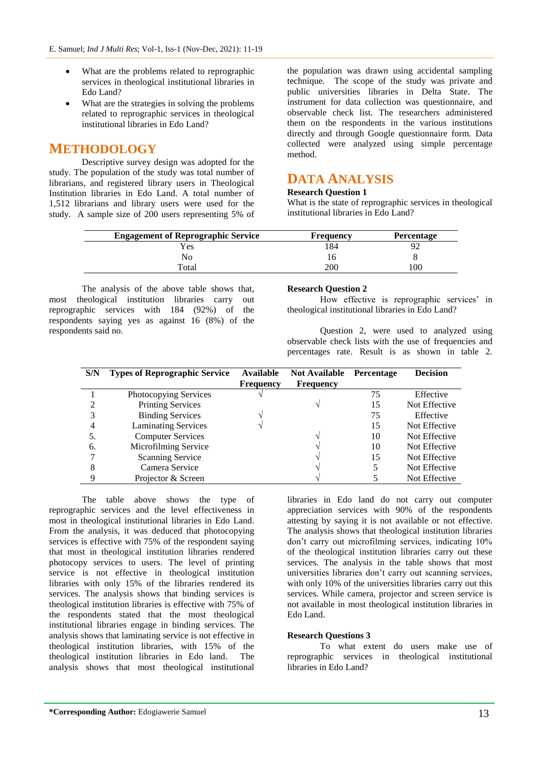- What are the problems related to reprographic services in theological institutional libraries in Edo Land?
- What are the strategies in solving the problems related to reprographic services in theological institutional libraries in Edo Land?

# **METHODOLOGY**

Descriptive survey design was adopted for the study. The population of the study was total number of librarians, and registered library users in Theological Institution libraries in Edo Land. A total number of 1,512 librarians and library users were used for the study. A sample size of 200 users representing 5% of

the population was drawn using accidental sampling technique. The scope of the study was private and public universities libraries in Delta State. The instrument for data collection was questionnaire, and observable check list. The researchers administered them on the respondents in the various institutions directly and through Google questionnaire form. Data collected were analyzed using simple percentage method.

# **DATA ANALYSIS**

### **Research Question 1**

What is the state of reprographic services in theological institutional libraries in Edo Land?

| <b>Engagement of Reprographic Service</b> | <b>Frequency</b> | <b>Percentage</b> |
|-------------------------------------------|------------------|-------------------|
| Yes                                       | 184              | $9'_{\ell}$       |
| No                                        |                  |                   |
| Total                                     | 200              | 100               |

The analysis of the above table shows that, most theological institution libraries carry out reprographic services with 184 (92%) of the respondents saying yes as against 16 (8%) of the respondents said no.

#### **Research Question 2**

How effective is reprographic services' in theological institutional libraries in Edo Land?

Question 2, were used to analyzed using observable check lists with the use of frequencies and percentages rate. Result is as shown in table 2.

| S/N | <b>Types of Reprographic Service</b> | Available        | <b>Not Available</b> | Percentage | <b>Decision</b> |
|-----|--------------------------------------|------------------|----------------------|------------|-----------------|
|     |                                      | <b>Frequency</b> | <b>Frequency</b>     |            |                 |
|     | Photocopying Services                |                  |                      | 75         | Effective       |
|     | <b>Printing Services</b>             |                  |                      | 15         | Not Effective   |
|     | <b>Binding Services</b>              |                  |                      | 75         | Effective       |
|     | <b>Laminating Services</b>           |                  |                      | 15         | Not Effective   |
| 5.  | <b>Computer Services</b>             |                  |                      | 10         | Not Effective   |
| 6.  | Microfilming Service                 |                  |                      | 10         | Not Effective   |
|     | <b>Scanning Service</b>              |                  |                      | 15         | Not Effective   |
| 8   | Camera Service                       |                  |                      |            | Not Effective   |
|     | Projector & Screen                   |                  |                      |            | Not Effective   |

The table above shows the type of reprographic services and the level effectiveness in most in theological institutional libraries in Edo Land. From the analysis, it was deduced that photocopying services is effective with 75% of the respondent saying that most in theological institution libraries rendered photocopy services to users. The level of printing service is not effective in theological institution libraries with only 15% of the libraries rendered its services. The analysis shows that binding services is theological institution libraries is effective with 75% of the respondents stated that the most theological institutional libraries engage in binding services. The analysis shows that laminating service is not effective in theological institution libraries, with 15% of the theological institution libraries in Edo land. The analysis shows that most theological institutional

libraries in Edo land do not carry out computer appreciation services with 90% of the respondents attesting by saying it is not available or not effective. The analysis shows that theological institution libraries don't carry out microfilming services, indicating 10% of the theological institution libraries carry out these services. The analysis in the table shows that most universities libraries don't carry out scanning services, with only 10% of the universities libraries carry out this services. While camera, projector and screen service is not available in most theological institution libraries in Edo Land.

#### **Research Questions 3**

To what extent do users make use of reprographic services in theological institutional libraries in Edo Land?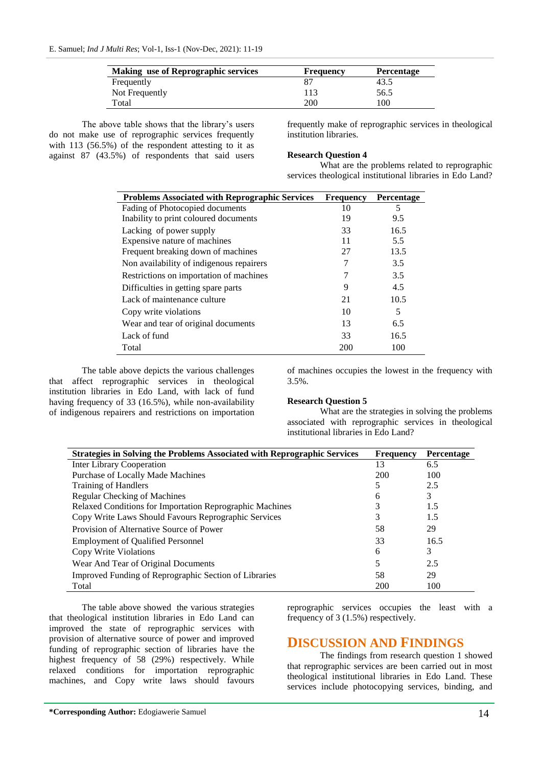| <b>Making use of Reprographic services</b> | <b>Frequency</b> | <b>Percentage</b> |
|--------------------------------------------|------------------|-------------------|
| Frequently                                 |                  | 43.5              |
| Not Frequently                             | 113              | 56.5              |
| Total                                      | 200              | 100               |

The above table shows that the library's users do not make use of reprographic services frequently with  $113$  (56.5%) of the respondent attesting to it as against 87 (43.5%) of respondents that said users frequently make of reprographic services in theological institution libraries.

#### **Research Question 4**

What are the problems related to reprographic services theological institutional libraries in Edo Land?

| <b>Problems Associated with Reprographic Services</b> | <b>Frequency</b> | <b>Percentage</b> |
|-------------------------------------------------------|------------------|-------------------|
| Fading of Photocopied documents                       | 10               | 5                 |
| Inability to print coloured documents                 | 19               | 9.5               |
| Lacking of power supply                               | 33               | 16.5              |
| Expensive nature of machines                          | 11               | 5.5               |
| Frequent breaking down of machines                    | 27               | 13.5              |
| Non availability of indigenous repairers              | 7                | 3.5               |
| Restrictions on importation of machines               | 7                | 3.5               |
| Difficulties in getting spare parts                   | 9                | 4.5               |
| Lack of maintenance culture                           | 21               | 10.5              |
| Copy write violations                                 | 10               | 5                 |
| Wear and tear of original documents                   | 13               | 6.5               |
| Lack of fund                                          | 33               | 16.5              |
| Total                                                 | 200              | 100               |

The table above depicts the various challenges that affect reprographic services in theological institution libraries in Edo Land, with lack of fund having frequency of 33 (16.5%), while non-availability of indigenous repairers and restrictions on importation of machines occupies the lowest in the frequency with 3.5%.

#### **Research Question 5**

What are the strategies in solving the problems associated with reprographic services in theological institutional libraries in Edo Land?

| <b>Strategies in Solving the Problems Associated with Reprographic Services</b> | <b>Frequency</b> | <b>Percentage</b> |
|---------------------------------------------------------------------------------|------------------|-------------------|
| <b>Inter Library Cooperation</b>                                                | 13               | 6.5               |
| Purchase of Locally Made Machines                                               | 200              | 100               |
| Training of Handlers                                                            |                  | 2.5               |
| Regular Checking of Machines                                                    | 6                | 3                 |
| Relaxed Conditions for Importation Reprographic Machines                        |                  | 1.5               |
| Copy Write Laws Should Favours Reprographic Services                            |                  | 1.5               |
| Provision of Alternative Source of Power                                        | 58               | 29                |
| <b>Employment of Qualified Personnel</b>                                        | 33               | 16.5              |
| Copy Write Violations                                                           | 6                | 3                 |
| Wear And Tear of Original Documents                                             |                  | 2.5               |
| Improved Funding of Reprographic Section of Libraries                           | 58               | 29                |
| Total                                                                           | 200              | 100               |

The table above showed the various strategies that theological institution libraries in Edo Land can improved the state of reprographic services with provision of alternative source of power and improved funding of reprographic section of libraries have the highest frequency of 58 (29%) respectively. While relaxed conditions for importation reprographic machines, and Copy write laws should favours reprographic services occupies the least with a frequency of 3 (1.5%) respectively.

## **DISCUSSION AND FINDINGS**

The findings from research question 1 showed that reprographic services are been carried out in most theological institutional libraries in Edo Land. These services include photocopying services, binding, and

**\*Corresponding Author:** Edogiawerie Samuel 14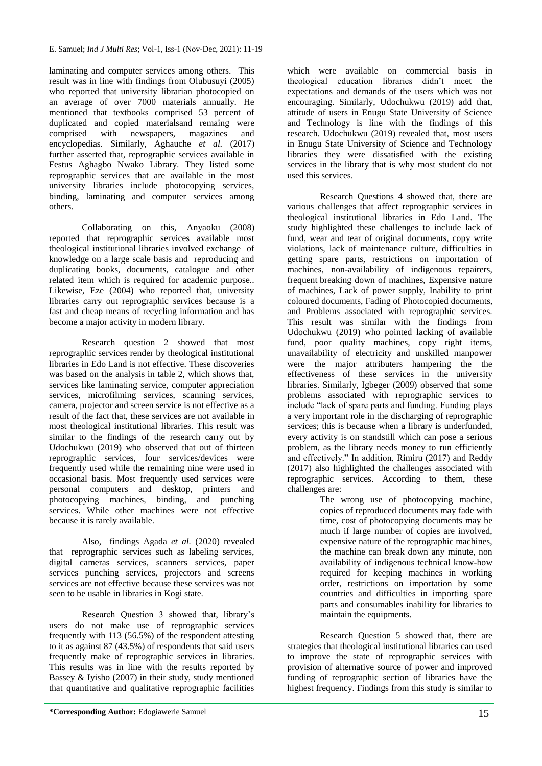laminating and computer services among others. This result was in line with findings from Olubusuyi (2005) who reported that university librarian photocopied on an average of over 7000 materials annually. He mentioned that textbooks comprised 53 percent of duplicated and copied materialsand remaing were comprised with newspapers, magazines and encyclopedias. Similarly, Aghauche et al. (2017) further asserted that, reprographic services available in Festus Aghagbo Nwako Library. They listed some reprographic services that are available in the most university libraries include photocopying services, binding, laminating and computer services among others.

Collaborating on this, Anyaoku (2008) reported that reprographic services available most theological institutional libraries involved exchange of knowledge on a large scale basis and reproducing and duplicating books, documents, catalogue and other related item which is required for academic purpose.. Likewise, Eze (2004) who reported that, university libraries carry out reprographic services because is a fast and cheap means of recycling information and has become a major activity in modern library.

Research question 2 showed that most reprographic services render by theological institutional libraries in Edo Land is not effective. These discoveries was based on the analysis in table 2, which shows that, services like laminating service, computer appreciation services, microfilming services, scanning services, camera, projector and screen service is not effective as a result of the fact that, these services are not available in most theological institutional libraries. This result was similar to the findings of the research carry out by Udochukwu (2019) who observed that out of thirteen reprographic services, four services/devices were frequently used while the remaining nine were used in occasional basis. Most frequently used services were personal computers and desktop, printers and photocopying machines, binding, and punching services. While other machines were not effective because it is rarely available.

Also, findings Agada *et al.* (2020) revealed that reprographic services such as labeling services, digital cameras services, scanners services, paper services punching services, projectors and screens services are not effective because these services was not seen to be usable in libraries in Kogi state.

Research Question 3 showed that, library's users do not make use of reprographic services frequently with 113 (56.5%) of the respondent attesting to it as against 87 (43.5%) of respondents that said users frequently make of reprographic services in libraries. This results was in line with the results reported by Bassey & Iyisho (2007) in their study, study mentioned that quantitative and qualitative reprographic facilities

which were available on commercial basis in theological education libraries didn't meet the expectations and demands of the users which was not encouraging. Similarly, Udochukwu (2019) add that, attitude of users in Enugu State University of Science and Technology is line with the findings of this research. Udochukwu (2019) revealed that, most users in Enugu State University of Science and Technology libraries they were dissatisfied with the existing services in the library that is why most student do not used this services.

Research Questions 4 showed that, there are various challenges that affect reprographic services in theological institutional libraries in Edo Land. The study highlighted these challenges to include lack of fund, wear and tear of original documents, copy write violations, lack of maintenance culture, difficulties in getting spare parts, restrictions on importation of machines, non-availability of indigenous repairers, frequent breaking down of machines, Expensive nature of machines, Lack of power supply, Inability to print coloured documents, Fading of Photocopied documents, and Problems associated with reprographic services. This result was similar with the findings from Udochukwu (2019) who pointed lacking of available fund, poor quality machines, copy right items, unavailability of electricity and unskilled manpower were the major attributers hampering the the effectiveness of these services in the university libraries. Similarly, Igbeger (2009) observed that some problems associated with reprographic services to include "lack of spare parts and funding. Funding plays a very important role in the discharging of reprographic services; this is because when a library is underfunded, every activity is on standstill which can pose a serious problem, as the library needs money to run efficiently and effectively." In addition, Rimiru (2017) and Reddy (2017) also highlighted the challenges associated with reprographic services. According to them, these challenges are:

The wrong use of photocopying machine, copies of reproduced documents may fade with time, cost of photocopying documents may be much if large number of copies are involved, expensive nature of the reprographic machines, the machine can break down any minute, non availability of indigenous technical know-how required for keeping machines in working order, restrictions on importation by some countries and difficulties in importing spare parts and consumables inability for libraries to maintain the equipments.

Research Question 5 showed that, there are strategies that theological institutional libraries can used to improve the state of reprographic services with provision of alternative source of power and improved funding of reprographic section of libraries have the highest frequency. Findings from this study is similar to

**<sup>\*</sup>Corresponding Author:** Edogiawerie Samuel 15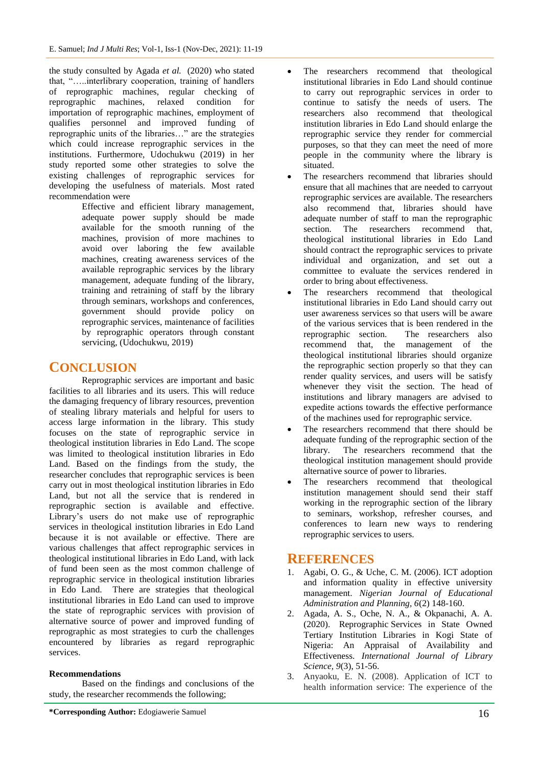the study consulted by Agada *et al.* (2020) who stated that, "…..interlibrary cooperation, training of handlers of reprographic machines, regular checking of reprographic machines, relaxed condition for importation of reprographic machines, employment of qualifies personnel and improved funding of reprographic units of the libraries…" are the strategies which could increase reprographic services in the institutions. Furthermore, Udochukwu (2019) in her study reported some other strategies to solve the existing challenges of reprographic services for developing the usefulness of materials. Most rated recommendation were

> Effective and efficient library management, adequate power supply should be made available for the smooth running of the machines, provision of more machines to avoid over laboring the few available machines, creating awareness services of the available reprographic services by the library management, adequate funding of the library, training and retraining of staff by the library through seminars, workshops and conferences, government should provide policy on reprographic services, maintenance of facilities by reprographic operators through constant servicing, (Udochukwu, 2019)

# **CONCLUSION**

Reprographic services are important and basic facilities to all libraries and its users. This will reduce the damaging frequency of library resources, prevention of stealing library materials and helpful for users to access large information in the library. This study focuses on the state of reprographic service in theological institution libraries in Edo Land. The scope was limited to theological institution libraries in Edo Land. Based on the findings from the study, the researcher concludes that reprographic services is been carry out in most theological institution libraries in Edo Land, but not all the service that is rendered in reprographic section is available and effective. Library's users do not make use of reprographic services in theological institution libraries in Edo Land because it is not available or effective. There are various challenges that affect reprographic services in theological institutional libraries in Edo Land, with lack of fund been seen as the most common challenge of reprographic service in theological institution libraries in Edo Land. There are strategies that theological institutional libraries in Edo Land can used to improve the state of reprographic services with provision of alternative source of power and improved funding of reprographic as most strategies to curb the challenges encountered by libraries as regard reprographic services.

## **Recommendations**

Based on the findings and conclusions of the study, the researcher recommends the following;

- The researchers recommend that theological institutional libraries in Edo Land should continue to carry out reprographic services in order to continue to satisfy the needs of users. The researchers also recommend that theological institution libraries in Edo Land should enlarge the reprographic service they render for commercial purposes, so that they can meet the need of more people in the community where the library is situated.
- The researchers recommend that libraries should ensure that all machines that are needed to carryout reprographic services are available. The researchers also recommend that, libraries should have adequate number of staff to man the reprographic section. The researchers recommend that, theological institutional libraries in Edo Land should contract the reprographic services to private individual and organization, and set out a committee to evaluate the services rendered in order to bring about effectiveness.
- The researchers recommend that theological institutional libraries in Edo Land should carry out user awareness services so that users will be aware of the various services that is been rendered in the reprographic section. The researchers also recommend that, the management of the theological institutional libraries should organize the reprographic section properly so that they can render quality services, and users will be satisfy whenever they visit the section. The head of institutions and library managers are advised to expedite actions towards the effective performance of the machines used for reprographic service.
- The researchers recommend that there should be adequate funding of the reprographic section of the library. The researchers recommend that the theological institution management should provide alternative source of power to libraries.
- The researchers recommend that theological institution management should send their staff working in the reprographic section of the library to seminars, workshop, refresher courses, and conferences to learn new ways to rendering reprographic services to users.

# **REFERENCES**

- 1. Agabi, O. G., & Uche, C. M. (2006). ICT adoption and information quality in effective university management. *Nigerian Journal of Educational Administration and Planning, 6*(2) 148-160.
- 2. Agada, A. S., Oche, N. A., & Okpanachi, A. A. (2020). Reprographic Services in State Owned Tertiary Institution Libraries in Kogi State of Nigeria: An Appraisal of Availability and Effectiveness. *International Journal of Library Science, 9*(3), 51-56.
- 3. Anyaoku, E. N. (2008). Application of ICT to health information service: The experience of the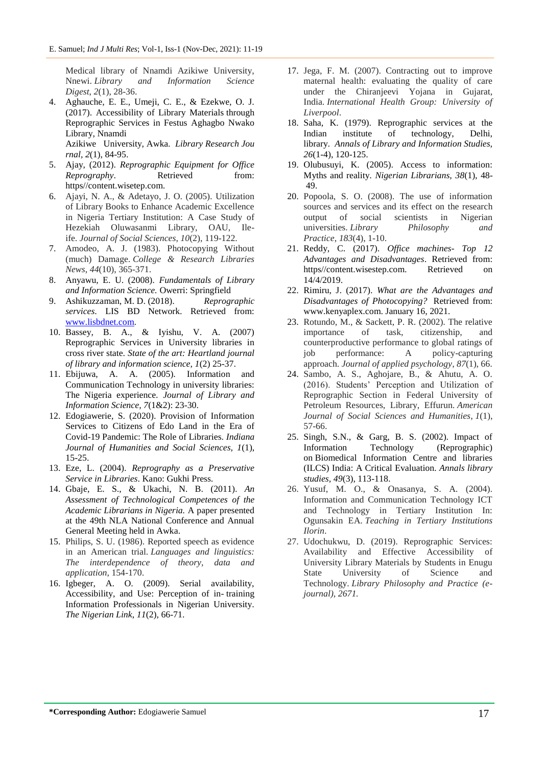Medical library of Nnamdi Azikiwe University, Nnewi. *Library and Information Science Digest*, *2*(1), 28-36.

4. Aghauche, E. E., Umeji, C. E., & Ezekwe, O. J. (2017). Accessibility of Library Materials through Reprographic Services in Festus Aghagbo Nwako Library, Nnamdi Azikiwe University, Awka. *Library Research Jou*

*rnal, 2*(1), 84-95.

- 5. Ajay, (2012). *Reprographic Equipment for Office Reprography.* Retrieved from: https//content.wisetep.com.
- 6. Ajayi, N. A., & Adetayo, J. O. (2005). Utilization of Library Books to Enhance Academic Excellence in Nigeria Tertiary Institution: A Case Study of Hezekiah Oluwasanmi Library, OAU, Ileife. *Journal of Social Sciences*, *10*(2), 119-122.
- 7. Amodeo, A. J. (1983). Photocopying Without (much) Damage. *College & Research Libraries News*, *44*(10), 365-371.
- 8. Anyawu, E. U. (2008). *Fundamentals of Library and Information Science.* Owerri: Springfield
- 9. Ashikuzzaman, M. D. (2018). *Reprographic services*. LIS BD Network. Retrieved from: [www.lisbdnet.com.](http://www.lisbdnet.com/)
- 10. Bassey, B. A., & Iyishu, V. A. (2007) Reprographic Services in University libraries in cross river state. *State of the art: Heartland journal of library and information science, 1*(2) 25-37.
- 11. Ebijuwa, A. A. (2005). Information and Communication Technology in university libraries: The Nigeria experience. *Journal of Library and Information Science, 7*(1&2): 23-30.
- 12. Edogiawerie, S. (2020). Provision of Information Services to Citizens of Edo Land in the Era of Covid-19 Pandemic: The Role of Libraries. *Indiana Journal of Humanities and Social Sciences, 1*(1), 15-25.
- 13. Eze, L. (2004). *Reprography as a Preservative Service in Libraries*. Kano: Gukhi Press.
- 14. Gbaje, E. S., & Ukachi, N. B. (2011). *An Assessment of Technological Competences of the Academic Librarians in Nigeria.* A paper presented at the 49th NLA National Conference and Annual General Meeting held in Awka.
- 15. Philips, S. U. (1986). Reported speech as evidence in an American trial. *Languages and linguistics: The interdependence of theory, data and application*, 154-170.
- 16. Igbeger, A. O. (2009). Serial availability, Accessibility, and Use: Perception of in- training Information Professionals in Nigerian University. *The Nigerian Link*, *11*(2), 66-71.
- 17. Jega, F. M. (2007). Contracting out to improve maternal health: evaluating the quality of care under the Chiranjeevi Yojana in Gujarat, India. *International Health Group: University of Liverpool*.
- 18. Saha, K. (1979). Reprographic services at the Indian institute of technology, Delhi, library. *Annals of Library and Information Studies, 26*(1-4), 120-125.
- 19. Olubusuyi, K. (2005). Access to information: Myths and reality. *Nigerian Librarians, 38*(1), 48- 49.
- 20. Popoola, S. O. (2008). The use of information sources and services and its effect on the research output of social scientists in Nigerian universities. *Library Philosophy and Practice*, *183*(4), 1-10.
- 21. Reddy, C. (2017). *Office machines- Top 12 Advantages and Disadvantages*. Retrieved from: https//content.wisestep.com. Retrieved on 14/4/2019.
- 22. Rimiru, J. (2017). *What are the Advantages and Disadvantages of Photocopying?* Retrieved from: www.kenyaplex.com. January 16, 2021.
- 23. Rotundo, M., & Sackett, P. R. (2002). The relative importance of task, citizenship, and counterproductive performance to global ratings of job performance: A policy-capturing approach. *Journal of applied psychology*, *87*(1), 66.
- 24. Sambo, A. S., Aghojare, B., & Ahutu, A. O. (2016). Students' Perception and Utilization of Reprographic Section in Federal University of Petroleum Resources, Library, Effurun. *American Journal of Social Sciences and Humanities*, *1*(1), 57-66.
- 25. Singh, S.N., & Garg, B. S. (2002). Impact of Information Technology (Reprographic) on Biomedical Information Centre and libraries (ILCS) India: A Critical Evaluation. *Annals library studies, 49*(3), 113-118.
- 26. Yusuf, M. O., & Onasanya, S. A. (2004). Information and Communication Technology ICT and Technology in Tertiary Institution In: Ogunsakin EA. *Teaching in Tertiary Institutions Ilorin*.
- 27. Udochukwu, D. (2019). Reprographic Services: Availability and Effective Accessibility of University Library Materials by Students in Enugu State University of Science and Technology. *Library Philosophy and Practice (ejournal)*, *2671.*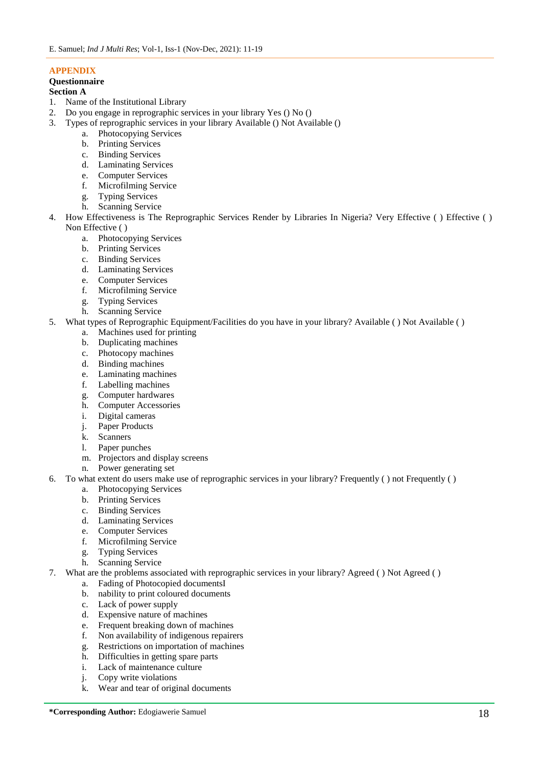### **APPENDIX**

### **Questionnaire**

### **Section A**

- 1. Name of the Institutional Library
- 2. Do you engage in reprographic services in your library Yes () No ()
- 3. Types of reprographic services in your library Available () Not Available ()
	- a. Photocopying Services
	- b. Printing Services
	- c. Binding Services
	- d. Laminating Services
	- e. Computer Services
	- f. Microfilming Service
	- g. Typing Services
	- h. Scanning Service
- 4. How Effectiveness is The Reprographic Services Render by Libraries In Nigeria? Very Effective ( ) Effective ( ) Non Effective ( )
	- a. Photocopying Services
	- b. Printing Services
	- c. Binding Services
	- d. Laminating Services
	- e. Computer Services
	- f. Microfilming Service
	- g. Typing Services
	- h. Scanning Service
- 5. What types of Reprographic Equipment/Facilities do you have in your library? Available ( ) Not Available ( )
	- a. Machines used for printing
	- b. Duplicating machines
	- c. Photocopy machines
	- d. Binding machines
	- e. Laminating machines
	- f. Labelling machines
	- g. Computer hardwares
	- h. Computer Accessories
	- i. Digital cameras
	- j. Paper Products
	- k. Scanners
	- l. Paper punches
	- m. Projectors and display screens
	- n. Power generating set
- 6. To what extent do users make use of reprographic services in your library? Frequently ( ) not Frequently ( )
	- a. Photocopying Services
	- b. Printing Services
	- c. Binding Services
	- d. Laminating Services
	- e. Computer Services
	- f. Microfilming Service
	- g. Typing Services
	- h. Scanning Service
- 7. What are the problems associated with reprographic services in your library? Agreed ( ) Not Agreed ( )
	- a. Fading of Photocopied documentsI
	- b. nability to print coloured documents
	- c. Lack of power supply
	- d. Expensive nature of machines
	- e. Frequent breaking down of machines
	- f. Non availability of indigenous repairers
	- g. Restrictions on importation of machines
	- h. Difficulties in getting spare parts
	- i. Lack of maintenance culture
	- j. Copy write violations
	- k. Wear and tear of original documents